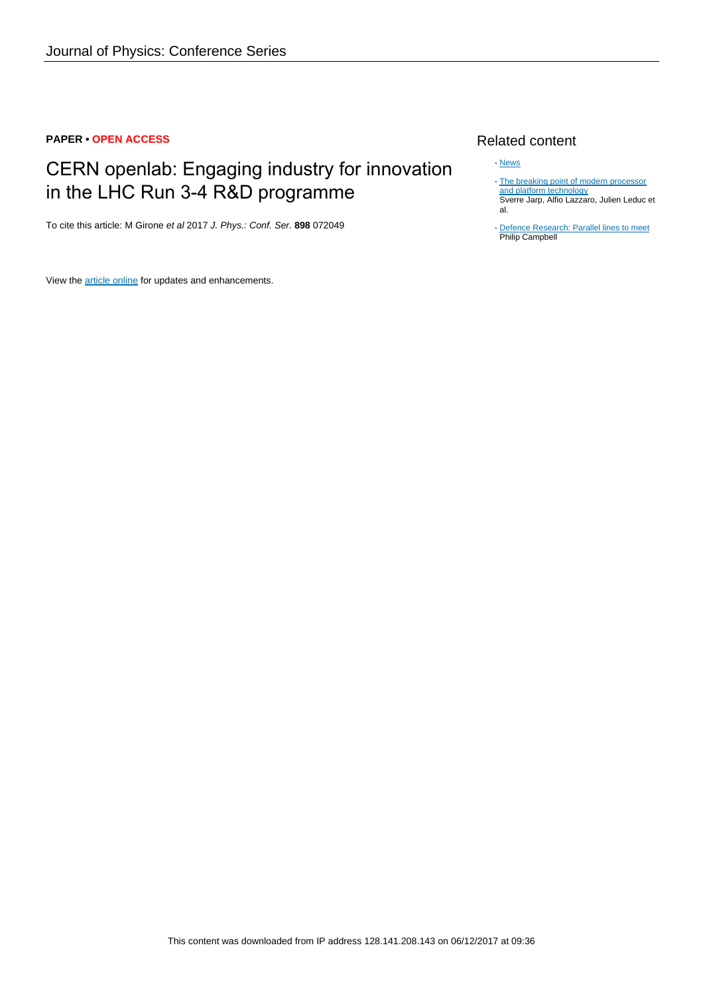## **PAPER • OPEN ACCESS**

# CERN openlab: Engaging industry for innovation in the LHC Run 3-4 R&D programme

To cite this article: M Girone et al 2017 J. Phys.: Conf. Ser. **898** 072049

View the **[article online](https://doi.org/10.1088/1742-6596/898/7/072049)** for updates and enhancements.

# Related content

#### - [News](http://iopscience.iop.org/article/10.1088/0031-9120/47/4/M01)

- [The breaking point of modern processor](http://iopscience.iop.org/article/10.1088/1742-6596/331/5/052030) [and platform technology](http://iopscience.iop.org/article/10.1088/1742-6596/331/5/052030) Sverre Jarp, Alfio Lazzaro, Julien Leduc et al. -
- **[Defence Research: Parallel lines to meet](http://iopscience.iop.org/article/10.1088/2058-7058/3/4/6)** Philip Campbell -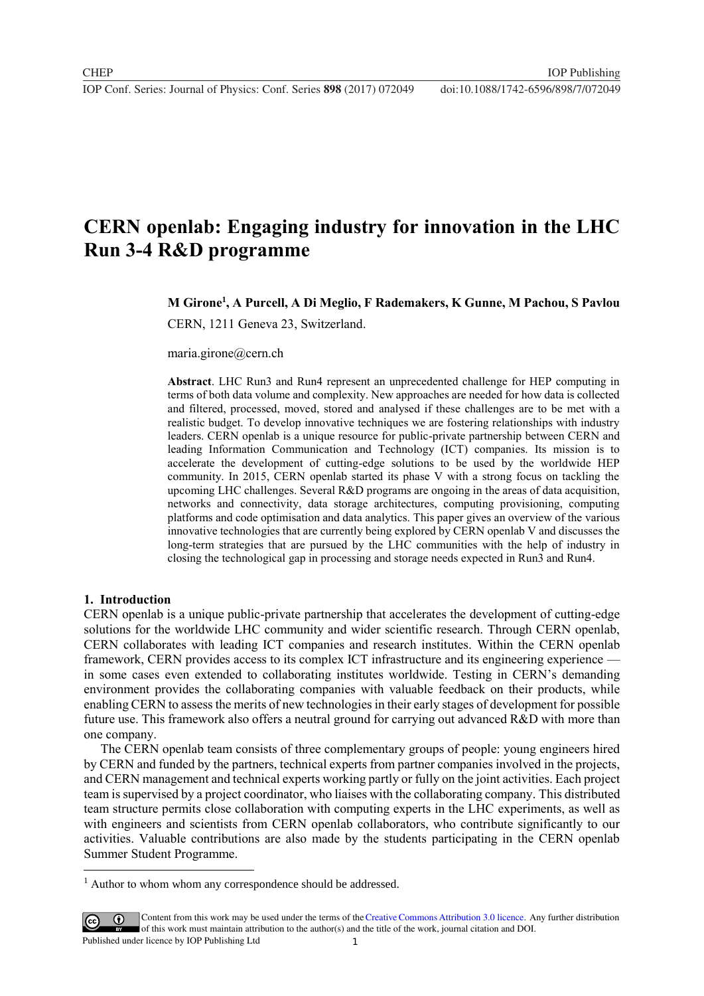# **CERN openlab: Engaging industry for innovation in the LHC Run 3-4 R&D programme**

**M Girone<sup>1</sup> , A Purcell, A Di Meglio, F Rademakers, K Gunne, M Pachou, S Pavlou**

CERN, 1211 Geneva 23, Switzerland.

maria.girone@cern.ch

**Abstract**. LHC Run3 and Run4 represent an unprecedented challenge for HEP computing in terms of both data volume and complexity. New approaches are needed for how data is collected and filtered, processed, moved, stored and analysed if these challenges are to be met with a realistic budget. To develop innovative techniques we are fostering relationships with industry leaders. CERN openlab is a unique resource for public-private partnership between CERN and leading Information Communication and Technology (ICT) companies. Its mission is to accelerate the development of cutting-edge solutions to be used by the worldwide HEP community. In 2015, CERN openlab started its phase V with a strong focus on tackling the upcoming LHC challenges. Several R&D programs are ongoing in the areas of data acquisition, networks and connectivity, data storage architectures, computing provisioning, computing platforms and code optimisation and data analytics. This paper gives an overview of the various innovative technologies that are currently being explored by CERN openlab V and discusses the long-term strategies that are pursued by the LHC communities with the help of industry in closing the technological gap in processing and storage needs expected in Run3 and Run4.

#### **1. Introduction**

 $\overline{a}$ 

CERN openlab is a unique public-private partnership that accelerates the development of cutting-edge solutions for the worldwide LHC community and wider scientific research. Through CERN openlab, CERN collaborates with leading ICT companies and research institutes. Within the CERN openlab framework, CERN provides access to its complex ICT infrastructure and its engineering experience in some cases even extended to collaborating institutes worldwide. Testing in CERN's demanding environment provides the collaborating companies with valuable feedback on their products, while enabling CERN to assess the merits of new technologies in their early stages of development for possible future use. This framework also offers a neutral ground for carrying out advanced R&D with more than one company.

The CERN openlab team consists of three complementary groups of people: young engineers hired by CERN and funded by the partners, technical experts from partner companies involved in the projects, and CERN management and technical experts working partly or fully on the joint activities. Each project team is supervised by a project coordinator, who liaises with the collaborating company. This distributed team structure permits close collaboration with computing experts in the LHC experiments, as well as with engineers and scientists from CERN openlab collaborators, who contribute significantly to our activities. Valuable contributions are also made by the students participating in the CERN openlab Summer Student Programme.

<sup>&</sup>lt;sup>1</sup> Author to whom whom any correspondence should be addressed.

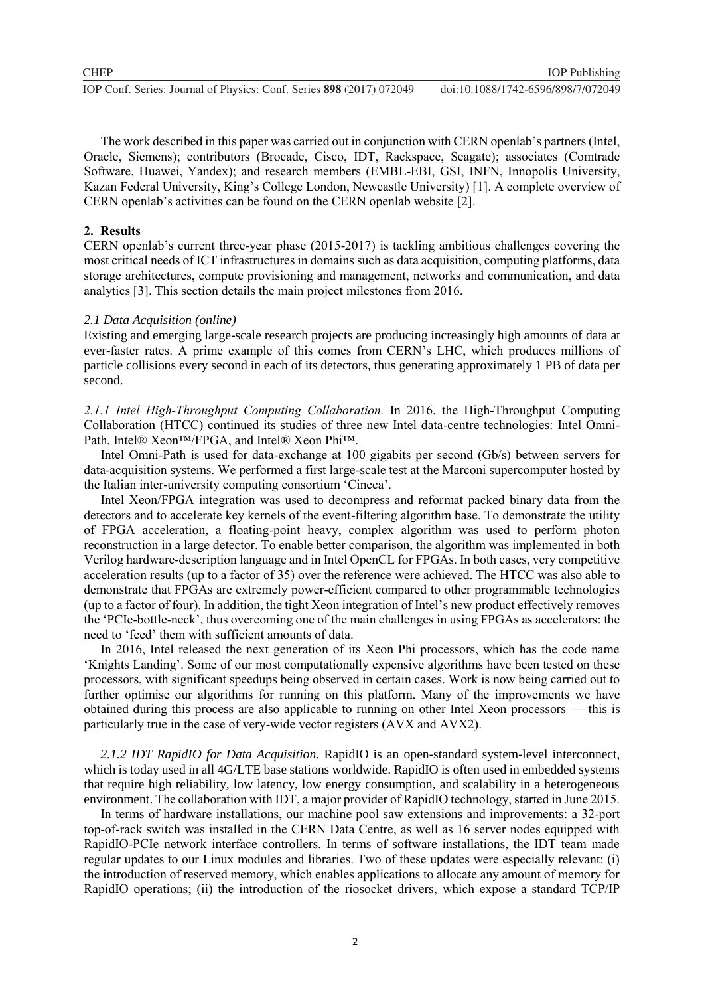The work described in this paper was carried out in conjunction with CERN openlab's partners (Intel, Oracle, Siemens); contributors (Brocade, Cisco, IDT, Rackspace, Seagate); associates (Comtrade Software, Huawei, Yandex); and research members (EMBL-EBI, GSI, INFN, Innopolis University, Kazan Federal University, King's College London, Newcastle University) [1]. A complete overview of CERN openlab's activities can be found on the CERN openlab website [2].

## **2. Results**

CERN openlab's current three-year phase (2015-2017) is tackling ambitious challenges covering the most critical needs of ICT infrastructures in domains such as data acquisition, computing platforms, data storage architectures, compute provisioning and management, networks and communication, and data analytics [3]. This section details the main project milestones from 2016.

## *2.1 Data Acquisition (online)*

Existing and emerging large-scale research projects are producing increasingly high amounts of data at ever-faster rates. A prime example of this comes from CERN's LHC, which produces millions of particle collisions every second in each of its detectors, thus generating approximately 1 PB of data per second.

*2.1.1 Intel High-Throughput Computing Collaboration.* In 2016, the High-Throughput Computing Collaboration (HTCC) continued its studies of three new Intel data-centre technologies: Intel Omni-Path, Intel® Xeon™/FPGA, and Intel® Xeon Phi™.

Intel Omni-Path is used for data-exchange at 100 gigabits per second (Gb/s) between servers for data-acquisition systems. We performed a first large-scale test at the Marconi supercomputer hosted by the Italian inter-university computing consortium 'Cineca'.

Intel Xeon/FPGA integration was used to decompress and reformat packed binary data from the detectors and to accelerate key kernels of the event-filtering algorithm base. To demonstrate the utility of FPGA acceleration, a floating-point heavy, complex algorithm was used to perform photon reconstruction in a large detector. To enable better comparison, the algorithm was implemented in both Verilog hardware-description language and in Intel OpenCL for FPGAs. In both cases, very competitive acceleration results (up to a factor of 35) over the reference were achieved. The HTCC was also able to demonstrate that FPGAs are extremely power-efficient compared to other programmable technologies (up to a factor of four). In addition, the tight Xeon integration of Intel's new product effectively removes the 'PCIe-bottle-neck', thus overcoming one of the main challenges in using FPGAs as accelerators: the need to 'feed' them with sufficient amounts of data.

In 2016, Intel released the next generation of its Xeon Phi processors, which has the code name 'Knights Landing'. Some of our most computationally expensive algorithms have been tested on these processors, with significant speedups being observed in certain cases. Work is now being carried out to further optimise our algorithms for running on this platform. Many of the improvements we have obtained during this process are also applicable to running on other Intel Xeon processors — this is particularly true in the case of very-wide vector registers (AVX and AVX2).

*2.1.2 IDT RapidIO for Data Acquisition.* RapidIO is an open-standard system-level interconnect, which is today used in all 4G/LTE base stations worldwide. RapidIO is often used in embedded systems that require high reliability, low latency, low energy consumption, and scalability in a heterogeneous environment. The collaboration with IDT, a major provider of RapidIO technology, started in June 2015.

In terms of hardware installations, our machine pool saw extensions and improvements: a 32-port top-of-rack switch was installed in the CERN Data Centre, as well as 16 server nodes equipped with RapidIO-PCIe network interface controllers. In terms of software installations, the IDT team made regular updates to our Linux modules and libraries. Two of these updates were especially relevant: (i) the introduction of reserved memory, which enables applications to allocate any amount of memory for RapidIO operations; (ii) the introduction of the riosocket drivers, which expose a standard TCP/IP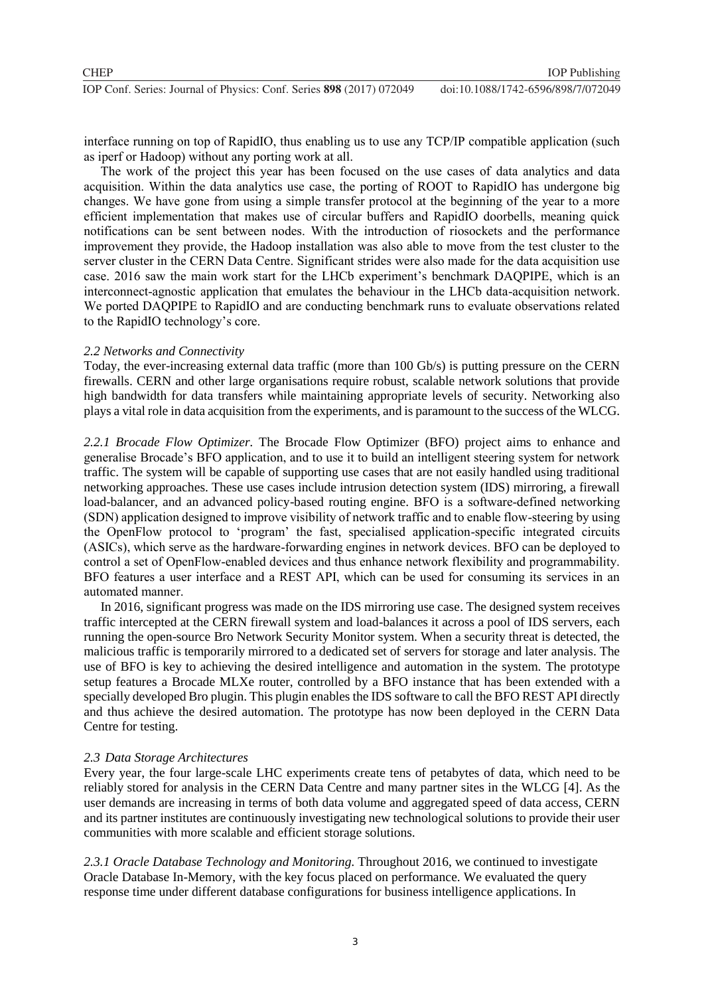interface running on top of RapidIO, thus enabling us to use any TCP/IP compatible application (such as iperf or Hadoop) without any porting work at all.

The work of the project this year has been focused on the use cases of data analytics and data acquisition. Within the data analytics use case, the porting of ROOT to RapidIO has undergone big changes. We have gone from using a simple transfer protocol at the beginning of the year to a more efficient implementation that makes use of circular buffers and RapidIO doorbells, meaning quick notifications can be sent between nodes. With the introduction of riosockets and the performance improvement they provide, the Hadoop installation was also able to move from the test cluster to the server cluster in the CERN Data Centre. Significant strides were also made for the data acquisition use case. 2016 saw the main work start for the LHCb experiment's benchmark DAQPIPE, which is an interconnect-agnostic application that emulates the behaviour in the LHCb data-acquisition network. We ported DAQPIPE to RapidIO and are conducting benchmark runs to evaluate observations related to the RapidIO technology's core.

#### *2.2 Networks and Connectivity*

Today, the ever-increasing external data traffic (more than 100 Gb/s) is putting pressure on the CERN firewalls. CERN and other large organisations require robust, scalable network solutions that provide high bandwidth for data transfers while maintaining appropriate levels of security. Networking also plays a vital role in data acquisition from the experiments, and is paramount to the success of the WLCG.

*2.2.1 Brocade Flow Optimizer.* The Brocade Flow Optimizer (BFO) project aims to enhance and generalise Brocade's BFO application, and to use it to build an intelligent steering system for network traffic. The system will be capable of supporting use cases that are not easily handled using traditional networking approaches. These use cases include intrusion detection system (IDS) mirroring, a firewall load-balancer, and an advanced policy-based routing engine. BFO is a software-defined networking (SDN) application designed to improve visibility of network traffic and to enable flow-steering by using the OpenFlow protocol to 'program' the fast, specialised application-specific integrated circuits (ASICs), which serve as the hardware-forwarding engines in network devices. BFO can be deployed to control a set of OpenFlow-enabled devices and thus enhance network flexibility and programmability. BFO features a user interface and a REST API, which can be used for consuming its services in an automated manner.

In 2016, significant progress was made on the IDS mirroring use case. The designed system receives traffic intercepted at the CERN firewall system and load-balances it across a pool of IDS servers, each running the open-source Bro Network Security Monitor system. When a security threat is detected, the malicious traffic is temporarily mirrored to a dedicated set of servers for storage and later analysis. The use of BFO is key to achieving the desired intelligence and automation in the system. The prototype setup features a Brocade MLXe router, controlled by a BFO instance that has been extended with a specially developed Bro plugin. This plugin enables the IDS software to call the BFO REST API directly and thus achieve the desired automation. The prototype has now been deployed in the CERN Data Centre for testing.

#### *2.3 Data Storage Architectures*

Every year, the four large-scale LHC experiments create tens of petabytes of data, which need to be reliably stored for analysis in the CERN Data Centre and many partner sites in the WLCG [4]. As the user demands are increasing in terms of both data volume and aggregated speed of data access, CERN and its partner institutes are continuously investigating new technological solutions to provide their user communities with more scalable and efficient storage solutions.

*2.3.1 Oracle Database Technology and Monitoring.* Throughout 2016, we continued to investigate Oracle Database In-Memory, with the key focus placed on performance. We evaluated the query response time under different database configurations for business intelligence applications. In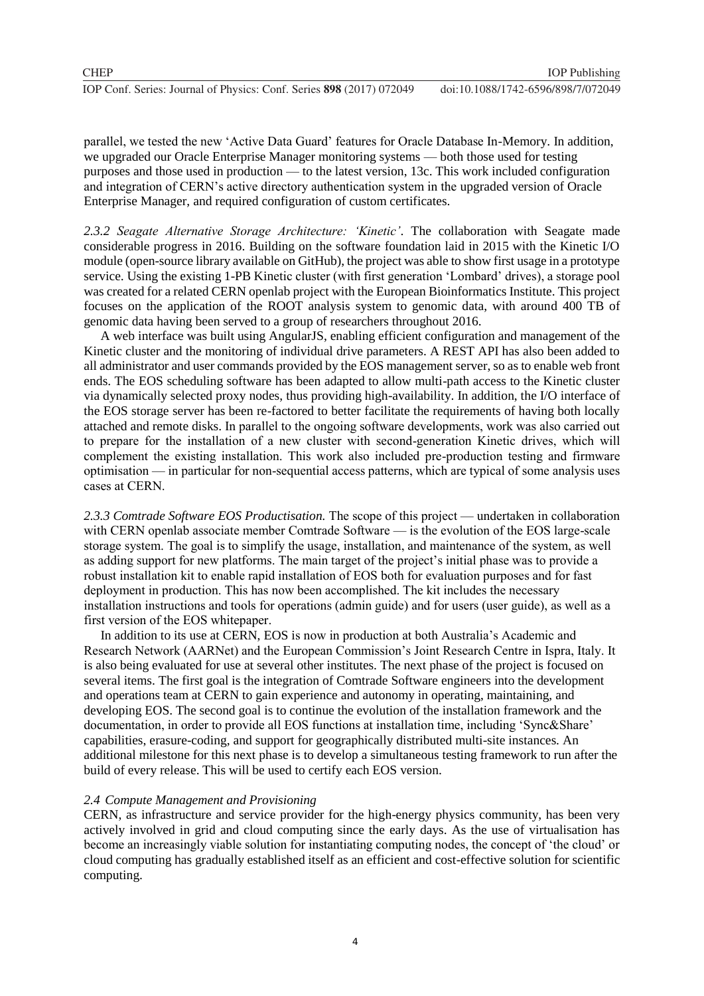parallel, we tested the new 'Active Data Guard' features for Oracle Database In-Memory. In addition, we upgraded our Oracle Enterprise Manager monitoring systems — both those used for testing purposes and those used in production — to the latest version, 13c. This work included configuration and integration of CERN's active directory authentication system in the upgraded version of Oracle Enterprise Manager, and required configuration of custom certificates.

*2.3.2 Seagate Alternative Storage Architecture: 'Kinetic'.* The collaboration with Seagate made considerable progress in 2016. Building on the software foundation laid in 2015 with the Kinetic I/O module (open-source library available on GitHub), the project was able to show first usage in a prototype service. Using the existing 1-PB Kinetic cluster (with first generation 'Lombard' drives), a storage pool was created for a related CERN openlab project with the European Bioinformatics Institute. This project focuses on the application of the ROOT analysis system to genomic data, with around 400 TB of genomic data having been served to a group of researchers throughout 2016.

A web interface was built using AngularJS, enabling efficient configuration and management of the Kinetic cluster and the monitoring of individual drive parameters. A REST API has also been added to all administrator and user commands provided by the EOS management server, so as to enable web front ends. The EOS scheduling software has been adapted to allow multi-path access to the Kinetic cluster via dynamically selected proxy nodes, thus providing high-availability. In addition, the I/O interface of the EOS storage server has been re-factored to better facilitate the requirements of having both locally attached and remote disks. In parallel to the ongoing software developments, work was also carried out to prepare for the installation of a new cluster with second-generation Kinetic drives, which will complement the existing installation. This work also included pre-production testing and firmware optimisation — in particular for non-sequential access patterns, which are typical of some analysis uses cases at CERN.

*2.3.3 Comtrade Software EOS Productisation.* The scope of this project — undertaken in collaboration with CERN openlab associate member Comtrade Software — is the evolution of the EOS large-scale storage system. The goal is to simplify the usage, installation, and maintenance of the system, as well as adding support for new platforms. The main target of the project's initial phase was to provide a robust installation kit to enable rapid installation of EOS both for evaluation purposes and for fast deployment in production. This has now been accomplished. The kit includes the necessary installation instructions and tools for operations (admin guide) and for users (user guide), as well as a first version of the EOS whitepaper.

In addition to its use at CERN, EOS is now in production at both Australia's Academic and Research Network (AARNet) and the European Commission's Joint Research Centre in Ispra, Italy. It is also being evaluated for use at several other institutes. The next phase of the project is focused on several items. The first goal is the integration of Comtrade Software engineers into the development and operations team at CERN to gain experience and autonomy in operating, maintaining, and developing EOS. The second goal is to continue the evolution of the installation framework and the documentation, in order to provide all EOS functions at installation time, including 'Sync&Share' capabilities, erasure-coding, and support for geographically distributed multi-site instances. An additional milestone for this next phase is to develop a simultaneous testing framework to run after the build of every release. This will be used to certify each EOS version.

## *2.4 Compute Management and Provisioning*

CERN, as infrastructure and service provider for the high-energy physics community, has been very actively involved in grid and cloud computing since the early days. As the use of virtualisation has become an increasingly viable solution for instantiating computing nodes, the concept of 'the cloud' or cloud computing has gradually established itself as an efficient and cost-effective solution for scientific computing.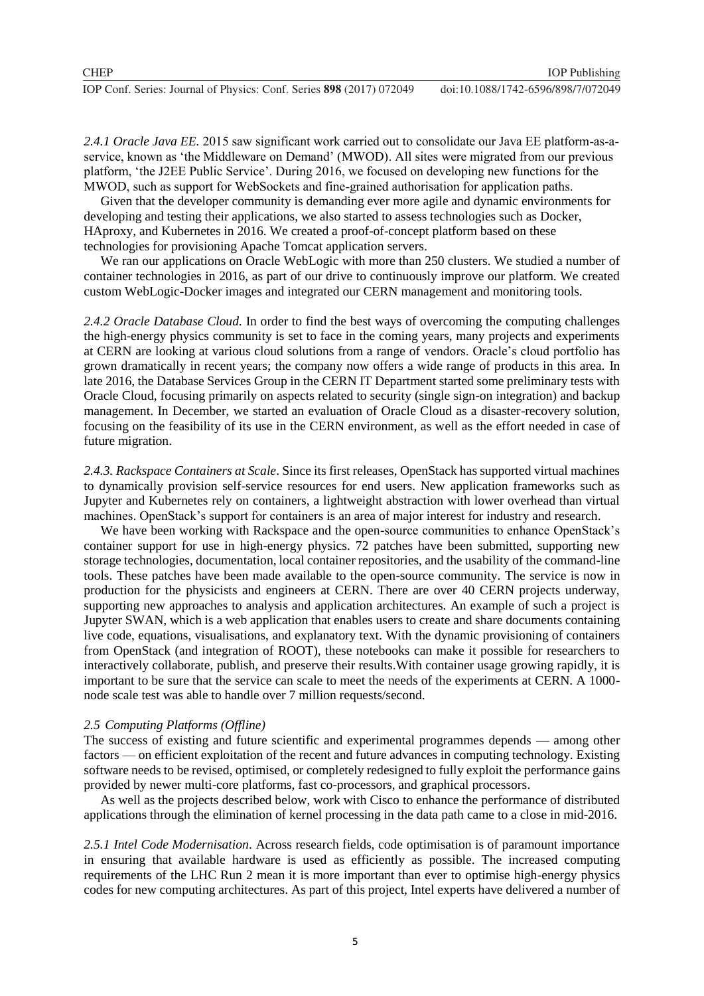*2.4.1 Oracle Java EE.* 2015 saw significant work carried out to consolidate our Java EE platform-as-aservice, known as 'the Middleware on Demand' (MWOD). All sites were migrated from our previous platform, 'the J2EE Public Service'. During 2016, we focused on developing new functions for the MWOD, such as support for WebSockets and fine-grained authorisation for application paths.

Given that the developer community is demanding ever more agile and dynamic environments for developing and testing their applications, we also started to assess technologies such as Docker, HAproxy, and Kubernetes in 2016. We created a proof-of-concept platform based on these technologies for provisioning Apache Tomcat application servers.

We ran our applications on Oracle WebLogic with more than 250 clusters. We studied a number of container technologies in 2016, as part of our drive to continuously improve our platform. We created custom WebLogic-Docker images and integrated our CERN management and monitoring tools.

*2.4.2 Oracle Database Cloud.* In order to find the best ways of overcoming the computing challenges the high-energy physics community is set to face in the coming years, many projects and experiments at CERN are looking at various cloud solutions from a range of vendors. Oracle's cloud portfolio has grown dramatically in recent years; the company now offers a wide range of products in this area. In late 2016, the Database Services Group in the CERN IT Department started some preliminary tests with Oracle Cloud, focusing primarily on aspects related to security (single sign-on integration) and backup management. In December, we started an evaluation of Oracle Cloud as a disaster-recovery solution, focusing on the feasibility of its use in the CERN environment, as well as the effort needed in case of future migration.

*2.4.3. Rackspace Containers at Scale*. Since its first releases, OpenStack has supported virtual machines to dynamically provision self-service resources for end users. New application frameworks such as Jupyter and Kubernetes rely on containers, a lightweight abstraction with lower overhead than virtual machines. OpenStack's support for containers is an area of major interest for industry and research.

We have been working with Rackspace and the open-source communities to enhance OpenStack's container support for use in high-energy physics. 72 patches have been submitted, supporting new storage technologies, documentation, local container repositories, and the usability of the command-line tools. These patches have been made available to the open-source community. The service is now in production for the physicists and engineers at CERN. There are over 40 CERN projects underway, supporting new approaches to analysis and application architectures. An example of such a project is Jupyter SWAN, which is a web application that enables users to create and share documents containing live code, equations, visualisations, and explanatory text. With the dynamic provisioning of containers from OpenStack (and integration of ROOT), these notebooks can make it possible for researchers to interactively collaborate, publish, and preserve their results.With container usage growing rapidly, it is important to be sure that the service can scale to meet the needs of the experiments at CERN. A 1000 node scale test was able to handle over 7 million requests/second.

## *2.5 Computing Platforms (Offline)*

The success of existing and future scientific and experimental programmes depends — among other factors — on efficient exploitation of the recent and future advances in computing technology. Existing software needs to be revised, optimised, or completely redesigned to fully exploit the performance gains provided by newer multi-core platforms, fast co-processors, and graphical processors.

As well as the projects described below, work with Cisco to enhance the performance of distributed applications through the elimination of kernel processing in the data path came to a close in mid-2016.

*2.5.1 Intel Code Modernisation*. Across research fields, code optimisation is of paramount importance in ensuring that available hardware is used as efficiently as possible. The increased computing requirements of the LHC Run 2 mean it is more important than ever to optimise high-energy physics codes for new computing architectures. As part of this project, Intel experts have delivered a number of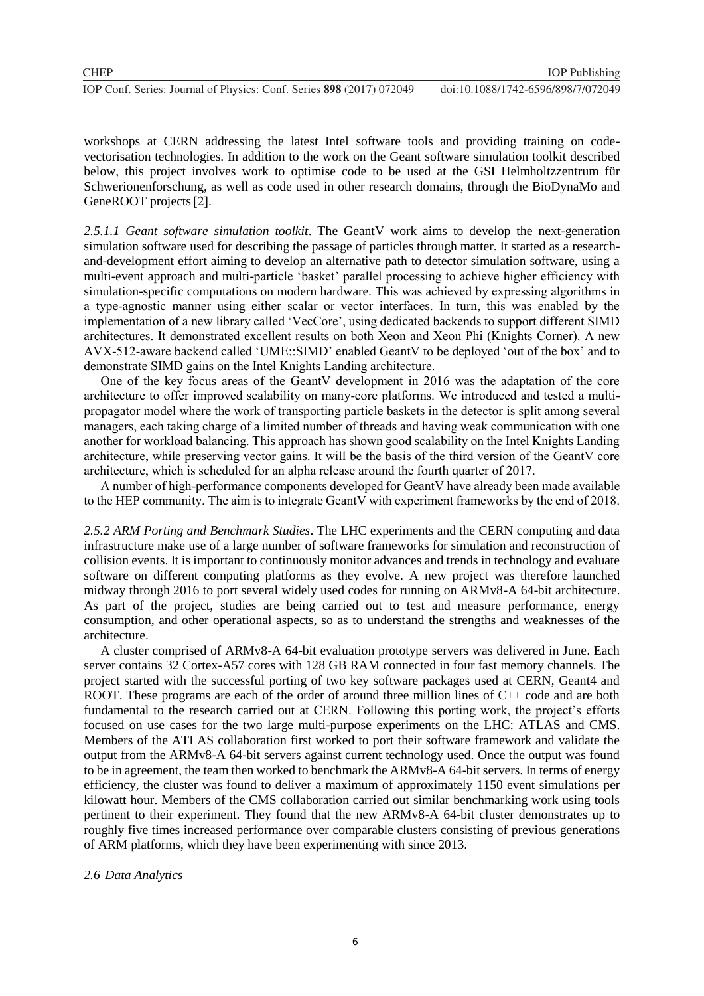workshops at CERN addressing the latest Intel software tools and providing training on codevectorisation technologies. In addition to the work on the Geant software simulation toolkit described below, this project involves work to optimise code to be used at the GSI Helmholtzzentrum für Schwerionenforschung, as well as code used in other research domains, through the BioDynaMo and GeneROOT projects [2].

*2.5.1.1 Geant software simulation toolkit*. The GeantV work aims to develop the next-generation simulation software used for describing the passage of particles through matter. It started as a researchand-development effort aiming to develop an alternative path to detector simulation software, using a multi-event approach and multi-particle 'basket' parallel processing to achieve higher efficiency with simulation-specific computations on modern hardware. This was achieved by expressing algorithms in a type-agnostic manner using either scalar or vector interfaces. In turn, this was enabled by the implementation of a new library called 'VecCore', using dedicated backends to support different SIMD architectures. It demonstrated excellent results on both Xeon and Xeon Phi (Knights Corner). A new AVX-512-aware backend called 'UME::SIMD' enabled GeantV to be deployed 'out of the box' and to demonstrate SIMD gains on the Intel Knights Landing architecture.

One of the key focus areas of the GeantV development in 2016 was the adaptation of the core architecture to offer improved scalability on many-core platforms. We introduced and tested a multipropagator model where the work of transporting particle baskets in the detector is split among several managers, each taking charge of a limited number of threads and having weak communication with one another for workload balancing. This approach has shown good scalability on the Intel Knights Landing architecture, while preserving vector gains. It will be the basis of the third version of the GeantV core architecture, which is scheduled for an alpha release around the fourth quarter of 2017.

A number of high-performance components developed for GeantV have already been made available to the HEP community. The aim is to integrate GeantV with experiment frameworks by the end of 2018.

*2.5.2 ARM Porting and Benchmark Studies*. The LHC experiments and the CERN computing and data infrastructure make use of a large number of software frameworks for simulation and reconstruction of collision events. It is important to continuously monitor advances and trends in technology and evaluate software on different computing platforms as they evolve. A new project was therefore launched midway through 2016 to port several widely used codes for running on ARMv8-A 64-bit architecture. As part of the project, studies are being carried out to test and measure performance, energy consumption, and other operational aspects, so as to understand the strengths and weaknesses of the architecture.

A cluster comprised of ARMv8-A 64-bit evaluation prototype servers was delivered in June. Each server contains 32 Cortex-A57 cores with 128 GB RAM connected in four fast memory channels. The project started with the successful porting of two key software packages used at CERN, Geant4 and ROOT. These programs are each of the order of around three million lines of C++ code and are both fundamental to the research carried out at CERN. Following this porting work, the project's efforts focused on use cases for the two large multi-purpose experiments on the LHC: ATLAS and CMS. Members of the ATLAS collaboration first worked to port their software framework and validate the output from the ARMv8-A 64-bit servers against current technology used. Once the output was found to be in agreement, the team then worked to benchmark the ARMv8-A 64-bit servers. In terms of energy efficiency, the cluster was found to deliver a maximum of approximately 1150 event simulations per kilowatt hour. Members of the CMS collaboration carried out similar benchmarking work using tools pertinent to their experiment. They found that the new ARMv8-A 64-bit cluster demonstrates up to roughly five times increased performance over comparable clusters consisting of previous generations of ARM platforms, which they have been experimenting with since 2013.

## *2.6 Data Analytics*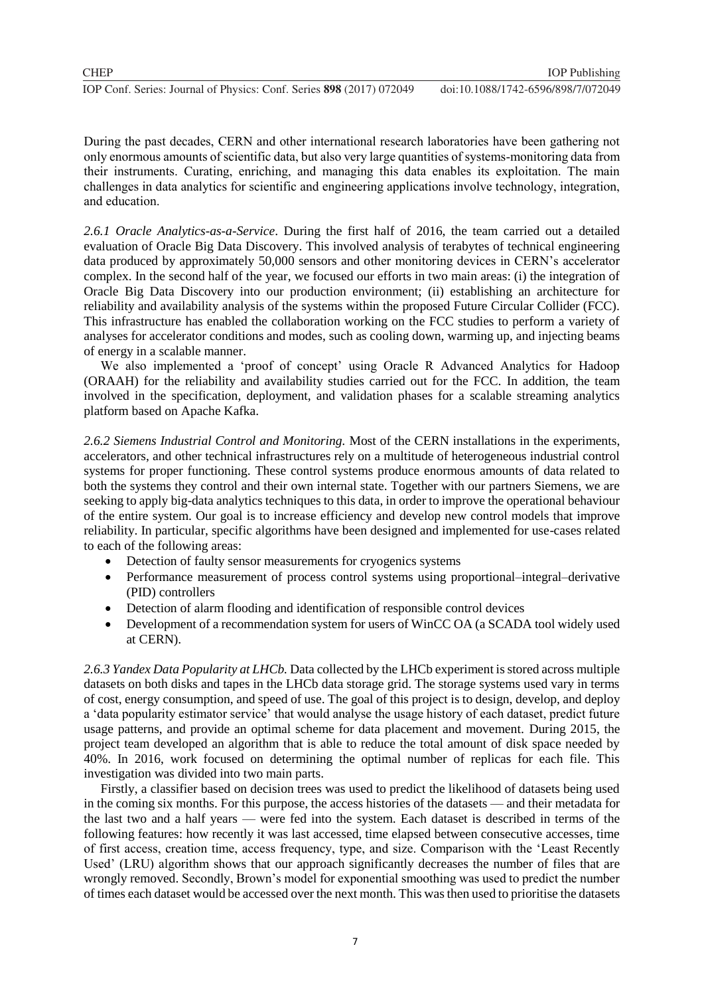During the past decades, CERN and other international research laboratories have been gathering not only enormous amounts of scientific data, but also very large quantities of systems-monitoring data from their instruments. Curating, enriching, and managing this data enables its exploitation. The main challenges in data analytics for scientific and engineering applications involve technology, integration, and education.

*2.6.1 Oracle Analytics-as-a-Service*. During the first half of 2016, the team carried out a detailed evaluation of Oracle Big Data Discovery. This involved analysis of terabytes of technical engineering data produced by approximately 50,000 sensors and other monitoring devices in CERN's accelerator complex. In the second half of the year, we focused our efforts in two main areas: (i) the integration of Oracle Big Data Discovery into our production environment; (ii) establishing an architecture for reliability and availability analysis of the systems within the proposed Future Circular Collider (FCC). This infrastructure has enabled the collaboration working on the FCC studies to perform a variety of analyses for accelerator conditions and modes, such as cooling down, warming up, and injecting beams of energy in a scalable manner.

We also implemented a 'proof of concept' using Oracle R Advanced Analytics for Hadoop (ORAAH) for the reliability and availability studies carried out for the FCC. In addition, the team involved in the specification, deployment, and validation phases for a scalable streaming analytics platform based on Apache Kafka.

*2.6.2 Siemens Industrial Control and Monitoring.* Most of the CERN installations in the experiments, accelerators, and other technical infrastructures rely on a multitude of heterogeneous industrial control systems for proper functioning. These control systems produce enormous amounts of data related to both the systems they control and their own internal state. Together with our partners Siemens, we are seeking to apply big-data analytics techniques to this data, in order to improve the operational behaviour of the entire system. Our goal is to increase efficiency and develop new control models that improve reliability. In particular, specific algorithms have been designed and implemented for use-cases related to each of the following areas:

- Detection of faulty sensor measurements for cryogenics systems
- Performance measurement of process control systems using proportional–integral–derivative (PID) controllers
- Detection of alarm flooding and identification of responsible control devices
- Development of a recommendation system for users of WinCC OA (a SCADA tool widely used at CERN).

*2.6.3 Yandex Data Popularity at LHCb.* Data collected by the LHCb experiment is stored across multiple datasets on both disks and tapes in the LHCb data storage grid. The storage systems used vary in terms of cost, energy consumption, and speed of use. The goal of this project is to design, develop, and deploy a 'data popularity estimator service' that would analyse the usage history of each dataset, predict future usage patterns, and provide an optimal scheme for data placement and movement. During 2015, the project team developed an algorithm that is able to reduce the total amount of disk space needed by 40%. In 2016, work focused on determining the optimal number of replicas for each file. This investigation was divided into two main parts.

Firstly, a classifier based on decision trees was used to predict the likelihood of datasets being used in the coming six months. For this purpose, the access histories of the datasets — and their metadata for the last two and a half years — were fed into the system. Each dataset is described in terms of the following features: how recently it was last accessed, time elapsed between consecutive accesses, time of first access, creation time, access frequency, type, and size. Comparison with the 'Least Recently Used' (LRU) algorithm shows that our approach significantly decreases the number of files that are wrongly removed. Secondly, Brown's model for exponential smoothing was used to predict the number of times each dataset would be accessed over the next month. This was then used to prioritise the datasets